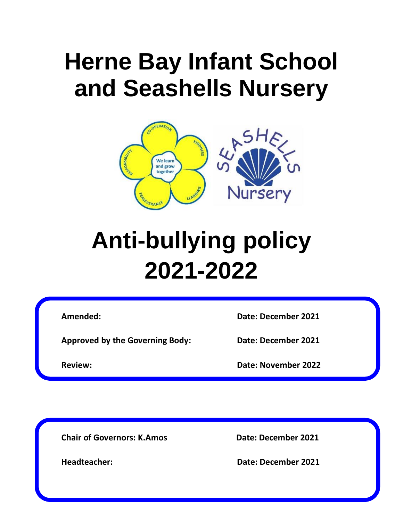# **Herne Bay Infant School and Seashells Nursery**



# **Anti-bullying policy 2021-2022**

**Amended: Date: December 2021**

**Approved by the Governing Body: Date: December 2021**

**Review: Date: November 2022**

**Chair of Governors: K.Amos Date: December 2021**

**Headteacher: Date: December 2021**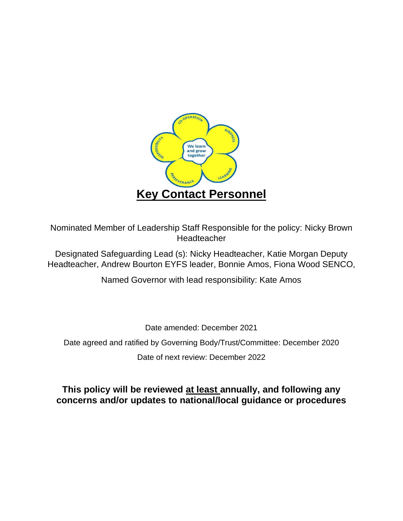

Nominated Member of Leadership Staff Responsible for the policy: Nicky Brown Headteacher

Designated Safeguarding Lead (s): Nicky Headteacher, Katie Morgan Deputy Headteacher, Andrew Bourton EYFS leader, Bonnie Amos, Fiona Wood SENCO,

Named Governor with lead responsibility: Kate Amos

Date amended: December 2021

Date agreed and ratified by Governing Body/Trust/Committee: December 2020

Date of next review: December 2022

**This policy will be reviewed at least annually, and following any concerns and/or updates to national/local guidance or procedures**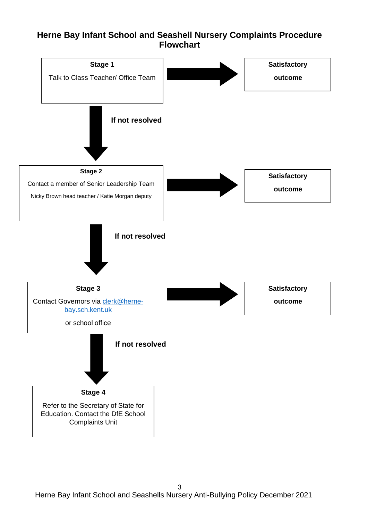#### **Herne Bay Infant School and Seashell Nursery Complaints Procedure Flowchart**

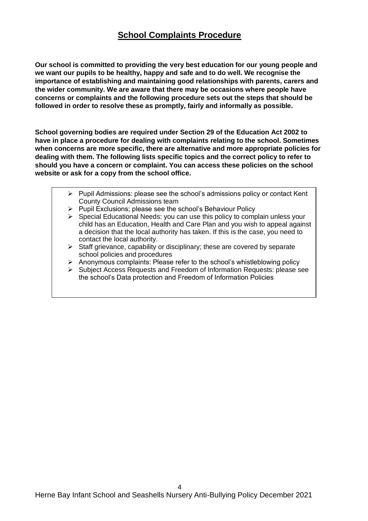## **School Complaints Procedure**

**Our school is committed to providing the very best education for our young people and we want our pupils to be healthy, happy and safe and to do well. We recognise the importance of establishing and maintaining good relationships with parents, carers and the wider community. We are aware that there may be occasions where people have concerns or complaints and the following procedure sets out the steps that should be followed in order to resolve these as promptly, fairly and informally as possible.**

**School governing bodies are required under Section 29 of the Education Act 2002 to have in place a procedure for dealing with complaints relating to the school. Sometimes when concerns are more specific, there are alternative and more appropriate policies for dealing with them. The following lists specific topics and the correct policy to refer to should you have a concern or complaint. You can access these policies on the school website or ask for a copy from the school office.** 

- $\triangleright$  Pupil Admissions: please see the school's admissions policy or contact Kent County Council Admissions team
- ➢ Pupil Exclusions; please see the school's Behaviour Policy
- $\triangleright$  Special Educational Needs: you can use this policy to complain unless your child has an Education, Health and Care Plan and you wish to appeal against a decision that the local authority has taken. If this is the case, you need to contact the local authority.
- ➢ Staff grievance, capability or disciplinary; these are covered by separate school policies and procedures
- ➢ Anonymous complaints: Please refer to the school's whistleblowing policy
- ➢ Subject Access Requests and Freedom of Information Requests: please see the school's Data protection and Freedom of Information Policies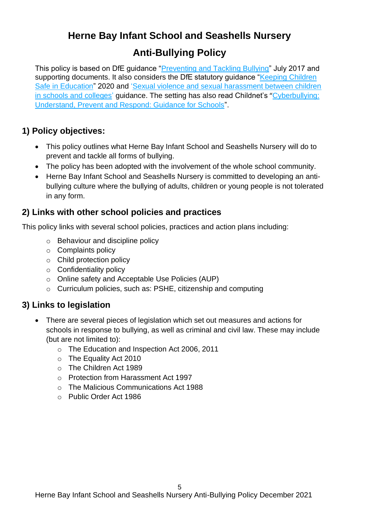## **Herne Bay Infant School and Seashells Nursery**

## **Anti-Bullying Policy**

This policy is based on DfE guidance ["Preventing and Tackling Bullying"](file:///C:/Users/AssitA01/AppData/Local/Microsoft/Windows/Temporary%20Internet%20Files/Content.Outlook/ZQ0RB9FM/•%09https:/www.gov.uk/government/publications/preventing-and-tackling-bullying) July 2017 and supporting documents. It also considers the DfE statutory guidance "Keeping Children" [Safe in Education"](https://www.gov.uk/government/publications/keeping-children-safe-in-education--2) 2020 and 'Sexual violence and sexual harassment between children [in schools and colleges'](https://www.gov.uk/government/publications/sexual-violence-and-sexual-harassment-between-children-in-schools-and-colleges) guidance. The setting has also read Childnet's "[Cyberbullying:](file:///C:/Users/AssitA01/AppData/Local/Microsoft/Windows/Temporary%20Internet%20Files/Content.Outlook/ZQ0RB9FM/www.childnet.com/resources/cyberbullying-guidance-for-schools)  [Understand, Prevent and Respond: Guidance for Schools"](file:///C:/Users/AssitA01/AppData/Local/Microsoft/Windows/Temporary%20Internet%20Files/Content.Outlook/ZQ0RB9FM/www.childnet.com/resources/cyberbullying-guidance-for-schools).

## **1) Policy objectives:**

- This policy outlines what Herne Bay Infant School and Seashells Nursery will do to prevent and tackle all forms of bullying.
- The policy has been adopted with the involvement of the whole school community.
- Herne Bay Infant School and Seashells Nursery is committed to developing an antibullying culture where the bullying of adults, children or young people is not tolerated in any form.

## **2) Links with other school policies and practices**

This policy links with several school policies, practices and action plans including:

- o Behaviour and discipline policy
- o Complaints policy
- o Child protection policy
- o Confidentiality policy
- o Online safety and Acceptable Use Policies (AUP)
- o Curriculum policies, such as: PSHE, citizenship and computing

#### **3) Links to legislation**

- There are several pieces of legislation which set out measures and actions for schools in response to bullying, as well as criminal and civil law. These may include (but are not limited to):
	- o The Education and Inspection Act 2006, 2011
	- o The Equality Act 2010
	- o The Children Act 1989
	- o Protection from Harassment Act 1997
	- o The Malicious Communications Act 1988
	- o Public Order Act 1986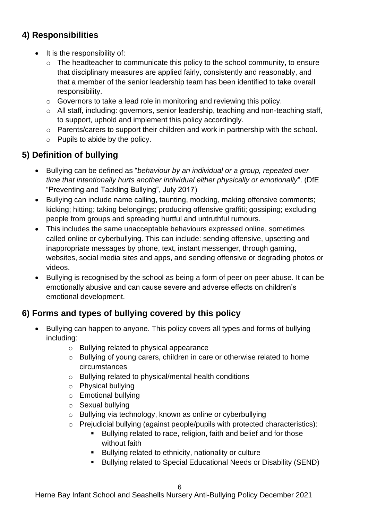## **4) Responsibilities**

- It is the responsibility of:
	- o The headteacher to communicate this policy to the school community, to ensure that disciplinary measures are applied fairly, consistently and reasonably, and that a member of the senior leadership team has been identified to take overall responsibility.
	- o Governors to take a lead role in monitoring and reviewing this policy.
	- o All staff, including: governors, senior leadership, teaching and non-teaching staff, to support, uphold and implement this policy accordingly.
	- o Parents/carers to support their children and work in partnership with the school.
	- $\circ$  Pupils to abide by the policy.

## **5) Definition of bullying**

- Bullying can be defined as "*behaviour by an individual or a group, repeated over time that intentionally hurts another individual either physically or emotionally*". (DfE "Preventing and Tackling Bullying", July 2017)
- Bullying can include name calling, taunting, mocking, making offensive comments; kicking; hitting; taking belongings; producing offensive graffiti; gossiping; excluding people from groups and spreading hurtful and untruthful rumours.
- This includes the same unacceptable behaviours expressed online, sometimes called online or cyberbullying. This can include: sending offensive, upsetting and inappropriate messages by phone, text, instant messenger, through gaming, websites, social media sites and apps, and sending offensive or degrading photos or videos.
- Bullying is recognised by the school as being a form of peer on peer abuse. It can be emotionally abusive and can cause severe and adverse effects on children's emotional development.

## **6) Forms and types of bullying covered by this policy**

- Bullying can happen to anyone. This policy covers all types and forms of bullying including:
	- o Bullying related to physical appearance
	- o Bullying of young carers, children in care or otherwise related to home circumstances
	- o Bullying related to physical/mental health conditions
	- o Physical bullying
	- o Emotional bullying
	- o Sexual bullying
	- o Bullying via technology, known as online or cyberbullying
	- o Prejudicial bullying (against people/pupils with protected characteristics):
		- Bullying related to race, religion, faith and belief and for those without faith
		- Bullying related to ethnicity, nationality or culture
		- Bullying related to Special Educational Needs or Disability (SEND)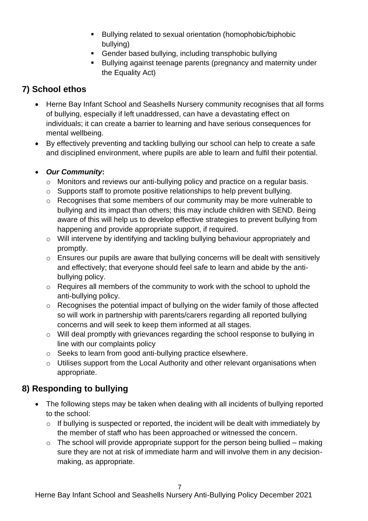- Bullying related to sexual orientation (homophobic/biphobic bullying)
- Gender based bullying, including transphobic bullying
- Bullying against teenage parents (pregnancy and maternity under the Equality Act)

## **7) School ethos**

- Herne Bay Infant School and Seashells Nursery community recognises that all forms of bullying, especially if left unaddressed, can have a devastating effect on individuals; it can create a barrier to learning and have serious consequences for mental wellbeing.
- By effectively preventing and tackling bullying our school can help to create a safe and disciplined environment, where pupils are able to learn and fulfil their potential.

#### • *Our Community***:**

- o Monitors and reviews our anti-bullying policy and practice on a regular basis.
- o Supports staff to promote positive relationships to help prevent bullying.
- o Recognises that some members of our community may be more vulnerable to bullying and its impact than others; this may include children with SEND. Being aware of this will help us to develop effective strategies to prevent bullying from happening and provide appropriate support, if required.
- o Will intervene by identifying and tackling bullying behaviour appropriately and promptly.
- o Ensures our pupils are aware that bullying concerns will be dealt with sensitively and effectively; that everyone should feel safe to learn and abide by the antibullying policy.
- o Requires all members of the community to work with the school to uphold the anti-bullying policy.
- o Recognises the potential impact of bullying on the wider family of those affected so will work in partnership with parents/carers regarding all reported bullying concerns and will seek to keep them informed at all stages.
- o Will deal promptly with grievances regarding the school response to bullying in line with our complaints policy
- o Seeks to learn from good anti-bullying practice elsewhere.
- o Utilises support from the Local Authority and other relevant organisations when appropriate.

## **8) Responding to bullying**

- The following steps may be taken when dealing with all incidents of bullying reported to the school:
	- $\circ$  If bullying is suspected or reported, the incident will be dealt with immediately by the member of staff who has been approached or witnessed the concern.
	- $\circ$  The school will provide appropriate support for the person being bullied making sure they are not at risk of immediate harm and will involve them in any decisionmaking, as appropriate.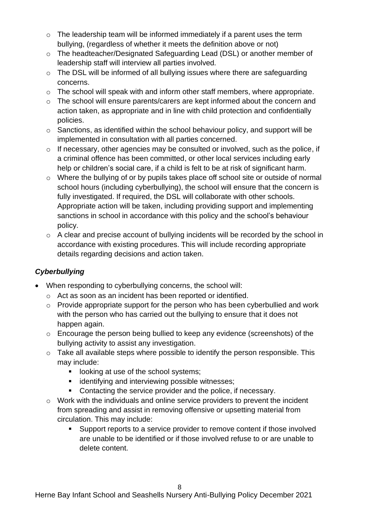- $\circ$  The leadership team will be informed immediately if a parent uses the term bullying, (regardless of whether it meets the definition above or not)
- o The headteacher/Designated Safeguarding Lead (DSL) or another member of leadership staff will interview all parties involved.
- o The DSL will be informed of all bullying issues where there are safeguarding concerns.
- o The school will speak with and inform other staff members, where appropriate.
- o The school will ensure parents/carers are kept informed about the concern and action taken, as appropriate and in line with child protection and confidentially policies.
- o Sanctions, as identified within the school behaviour policy, and support will be implemented in consultation with all parties concerned.
- $\circ$  If necessary, other agencies may be consulted or involved, such as the police, if a criminal offence has been committed, or other local services including early help or children's social care, if a child is felt to be at risk of significant harm.
- o Where the bullying of or by pupils takes place off school site or outside of normal school hours (including cyberbullying), the school will ensure that the concern is fully investigated. If required, the DSL will collaborate with other schools. Appropriate action will be taken, including providing support and implementing sanctions in school in accordance with this policy and the school's behaviour policy.
- o A clear and precise account of bullying incidents will be recorded by the school in accordance with existing procedures. This will include recording appropriate details regarding decisions and action taken.

#### *Cyberbullying*

- When responding to cyberbullying concerns, the school will:
	- o Act as soon as an incident has been reported or identified.
	- o Provide appropriate support for the person who has been cyberbullied and work with the person who has carried out the bullying to ensure that it does not happen again.
	- o Encourage the person being bullied to keep any evidence (screenshots) of the bullying activity to assist any investigation.
	- o Take all available steps where possible to identify the person responsible. This may include:
		- looking at use of the school systems;
		- identifying and interviewing possible witnesses;
		- Contacting the service provider and the police, if necessary.
	- $\circ$  Work with the individuals and online service providers to prevent the incident from spreading and assist in removing offensive or upsetting material from circulation. This may include:
		- Support reports to a service provider to remove content if those involved are unable to be identified or if those involved refuse to or are unable to delete content.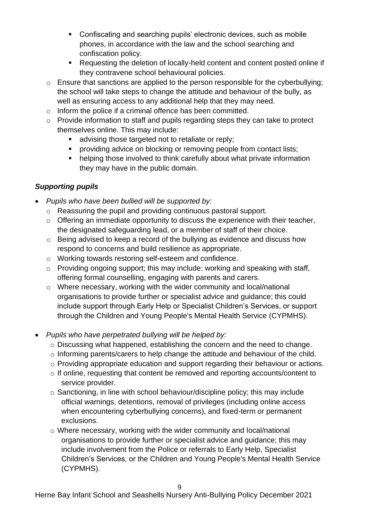- Confiscating and searching pupils' electronic devices, such as mobile phones, in accordance with the law and the school searching and confiscation policy.
- Requesting the deletion of locally-held content and content posted online if they contravene school behavioural policies.
- o Ensure that sanctions are applied to the person responsible for the cyberbullying; the school will take steps to change the attitude and behaviour of the bully, as well as ensuring access to any additional help that they may need.
- o Inform the police if a criminal offence has been committed.
- o Provide information to staff and pupils regarding steps they can take to protect themselves online. This may include:
	- advising those targeted not to retaliate or reply;
	- **•** providing advice on blocking or removing people from contact lists;
	- helping those involved to think carefully about what private information they may have in the public domain.

#### *Supporting pupils*

- *Pupils who have been bullied will be supported by:*
	- o Reassuring the pupil and providing continuous pastoral support.
	- $\circ$  Offering an immediate opportunity to discuss the experience with their teacher, the designated safeguarding lead, or a member of staff of their choice.
	- o Being advised to keep a record of the bullying as evidence and discuss how respond to concerns and build resilience as appropriate.
	- o Working towards restoring self-esteem and confidence.
	- o Providing ongoing support; this may include: working and speaking with staff, offering formal counselling, engaging with parents and carers.
	- o Where necessary, working with the wider community and local/national organisations to provide further or specialist advice and guidance; this could include support through Early Help or Specialist Children's Services, or support through the Children and Young People's Mental Health Service (CYPMHS).
- *Pupils who have perpetrated bullying will be helped by:*
	- o Discussing what happened, establishing the concern and the need to change.
	- o Informing parents/carers to help change the attitude and behaviour of the child.
	- o Providing appropriate education and support regarding their behaviour or actions.
	- o If online, requesting that content be removed and reporting accounts/content to service provider.
	- $\circ$  Sanctioning, in line with school behaviour/discipline policy; this may include official warnings, detentions, removal of privileges (including online access when encountering cyberbullying concerns), and fixed-term or permanent exclusions.
	- $\circ$  Where necessary, working with the wider community and local/national organisations to provide further or specialist advice and guidance; this may include involvement from the Police or referrals to Early Help, Specialist Children's Services, or the Children and Young People's Mental Health Service (CYPMHS).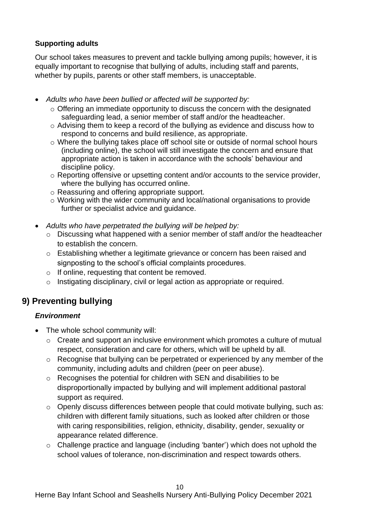#### **Supporting adults**

Our school takes measures to prevent and tackle bullying among pupils; however, it is equally important to recognise that bullying of adults, including staff and parents, whether by pupils, parents or other staff members, is unacceptable.

- *Adults who have been bullied or affected will be supported by:*
	- o Offering an immediate opportunity to discuss the concern with the designated safeguarding lead, a senior member of staff and/or the headteacher.
	- o Advising them to keep a record of the bullying as evidence and discuss how to respond to concerns and build resilience, as appropriate.
	- o Where the bullying takes place off school site or outside of normal school hours (including online), the school will still investigate the concern and ensure that appropriate action is taken in accordance with the schools' behaviour and discipline policy.
	- o Reporting offensive or upsetting content and/or accounts to the service provider, where the bullying has occurred online.
	- o Reassuring and offering appropriate support.
	- o Working with the wider community and local/national organisations to provide further or specialist advice and guidance.
- *Adults who have perpetrated the bullying will be helped by:*
	- o Discussing what happened with a senior member of staff and/or the headteacher to establish the concern.
	- o Establishing whether a legitimate grievance or concern has been raised and signposting to the school's official complaints procedures.
	- $\circ$  If online, requesting that content be removed.
	- o Instigating disciplinary, civil or legal action as appropriate or required.

## **9) Preventing bullying**

#### *Environment*

- The whole school community will:
	- o Create and support an inclusive environment which promotes a culture of mutual respect, consideration and care for others, which will be upheld by all.
	- o Recognise that bullying can be perpetrated or experienced by any member of the community, including adults and children (peer on peer abuse).
	- o Recognises the potential for children with SEN and disabilities to be disproportionally impacted by bullying and will implement additional pastoral support as required.
	- o Openly discuss differences between people that could motivate bullying, such as: children with different family situations, such as looked after children or those with caring responsibilities, religion, ethnicity, disability, gender, sexuality or appearance related difference.
	- o Challenge practice and language (including 'banter') which does not uphold the school values of tolerance, non-discrimination and respect towards others.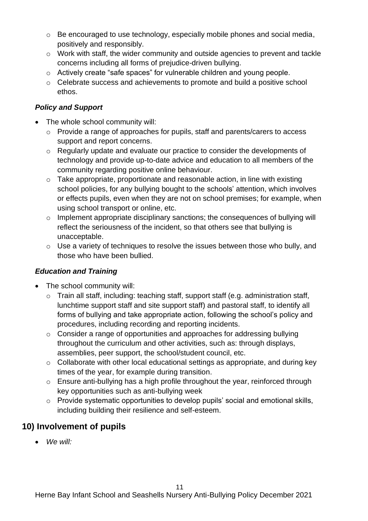- $\circ$  Be encouraged to use technology, especially mobile phones and social media, positively and responsibly.
- o Work with staff, the wider community and outside agencies to prevent and tackle concerns including all forms of prejudice-driven bullying.
- o Actively create "safe spaces" for vulnerable children and young people.
- o Celebrate success and achievements to promote and build a positive school ethos.

#### *Policy and Support*

- The whole school community will:
	- o Provide a range of approaches for pupils, staff and parents/carers to access support and report concerns.
	- o Regularly update and evaluate our practice to consider the developments of technology and provide up-to-date advice and education to all members of the community regarding positive online behaviour.
	- o Take appropriate, proportionate and reasonable action, in line with existing school policies, for any bullying bought to the schools' attention, which involves or effects pupils, even when they are not on school premises; for example, when using school transport or online, etc.
	- o Implement appropriate disciplinary sanctions; the consequences of bullying will reflect the seriousness of the incident, so that others see that bullying is unacceptable.
	- o Use a variety of techniques to resolve the issues between those who bully, and those who have been bullied.

#### *Education and Training*

- The school community will:
	- o Train all staff, including: teaching staff, support staff (e.g. administration staff, lunchtime support staff and site support staff) and pastoral staff, to identify all forms of bullying and take appropriate action, following the school's policy and procedures, including recording and reporting incidents.
	- o Consider a range of opportunities and approaches for addressing bullying throughout the curriculum and other activities, such as: through displays, assemblies, peer support, the school/student council, etc.
	- o Collaborate with other local educational settings as appropriate, and during key times of the year, for example during transition.
	- o Ensure anti-bullying has a high profile throughout the year, reinforced through key opportunities such as anti-bullying week
	- o Provide systematic opportunities to develop pupils' social and emotional skills, including building their resilience and self-esteem.

#### **10) Involvement of pupils**

• *We will:*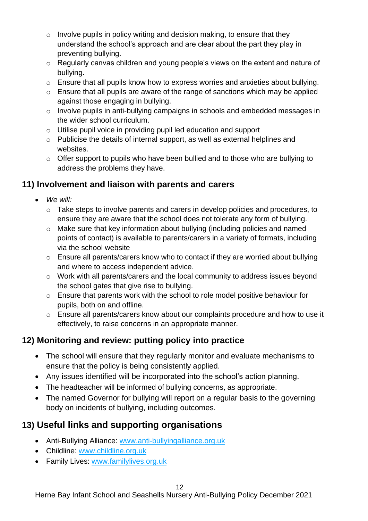- $\circ$  Involve pupils in policy writing and decision making, to ensure that they understand the school's approach and are clear about the part they play in preventing bullying.
- o Regularly canvas children and young people's views on the extent and nature of bullying.
- o Ensure that all pupils know how to express worries and anxieties about bullying.
- $\circ$  Ensure that all pupils are aware of the range of sanctions which may be applied against those engaging in bullying.
- o Involve pupils in anti-bullying campaigns in schools and embedded messages in the wider school curriculum.
- o Utilise pupil voice in providing pupil led education and support
- o Publicise the details of internal support, as well as external helplines and websites.
- o Offer support to pupils who have been bullied and to those who are bullying to address the problems they have.

## **11) Involvement and liaison with parents and carers**

- *We will:* 
	- $\circ$  Take steps to involve parents and carers in develop policies and procedures, to ensure they are aware that the school does not tolerate any form of bullying.
	- o Make sure that key information about bullying (including policies and named points of contact) is available to parents/carers in a variety of formats, including via the school website
	- o Ensure all parents/carers know who to contact if they are worried about bullying and where to access independent advice.
	- o Work with all parents/carers and the local community to address issues beyond the school gates that give rise to bullying.
	- o Ensure that parents work with the school to role model positive behaviour for pupils, both on and offline.
	- o Ensure all parents/carers know about our complaints procedure and how to use it effectively, to raise concerns in an appropriate manner.

## **12) Monitoring and review: putting policy into practice**

- The school will ensure that they regularly monitor and evaluate mechanisms to ensure that the policy is being consistently applied.
- Any issues identified will be incorporated into the school's action planning.
- The headteacher will be informed of bullying concerns, as appropriate.
- The named Governor for bullying will report on a regular basis to the governing body on incidents of bullying, including outcomes.

## **13) Useful links and supporting organisations**

- Anti-Bullying Alliance: [www.anti-bullyingalliance.org.uk](http://www.anti-bullyingalliance.org.uk/)
- Childline: [www.childline.org.uk](http://www.childline.org.uk/)
- Family Lives: [www.familylives.org.uk](http://www.familylives.org.uk/)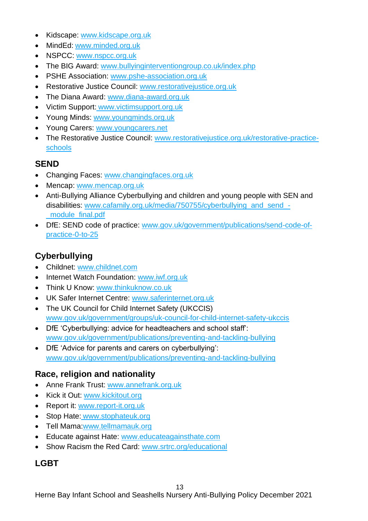- Kidscape: [www.kidscape.org.uk](http://www.kidscape.org.uk/)
- MindEd: [www.minded.org.uk](http://www.minded.org.uk/)
- NSPCC: [www.nspcc.org.uk](http://www.nspcc.org.uk/)
- The BIG Award: [www.bullyinginterventiongroup.co.uk/index.php](https://www.bullyinginterventiongroup.co.uk/index.php)
- PSHE Association: [www.pshe-association.org.uk](http://www.pshe-association.org.uk/)
- Restorative Justice Council: [www.restorativejustice.org.uk](http://www.restorativejustice.org.uk/)
- The Diana Award: [www.diana-award.org.uk](http://www.diana-award.org.uk/)
- Victim Support: [www.victimsupport.org.uk](http://www.victimsupport.org.uk/)
- Young Minds: [www.youngminds.org.uk](http://www.youngminds.org.uk/)
- Young Carers: [www.youngcarers.net](http://www.youngcarers.net/)
- The Restorative Justice Council: [www.restorativejustice.org.uk/restorative-practice](http://www.restorativejustice.org.uk/restorative-practice-schools)[schools](http://www.restorativejustice.org.uk/restorative-practice-schools)

#### **SEND**

- Changing Faces: [www.changingfaces.org.uk](http://www.changingfaces.org.uk/)
- Mencap: [www.mencap.org.uk](http://www.mencap.org.uk/)
- Anti-Bullying Alliance Cyberbullying and children and young people with SEN and disabilities: [www.cafamily.org.uk/media/750755/cyberbullying\\_and\\_send\\_-](http://www.cafamily.org.uk/media/750755/cyberbullying_and_send_-_module_final.pdf) [\\_module\\_final.pdf](http://www.cafamily.org.uk/media/750755/cyberbullying_and_send_-_module_final.pdf)
- DfE: SEND code of practice: [www.gov.uk/government/publications/send-code-of](https://www.gov.uk/government/publications/send-code-of-practice-0-to-25)[practice-0-to-25](https://www.gov.uk/government/publications/send-code-of-practice-0-to-25)

## **Cyberbullying**

- Childnet: [www.childnet.com](http://www.childnet.com/)
- Internet Watch Foundation: [www.iwf.org.uk](http://www.iwf.org.uk/)
- Think U Know: [www.thinkuknow.co.uk](http://www.thinkuknow.co.uk/)
- UK Safer Internet Centre: [www.saferinternet.org.uk](http://www.saferinternet.org.uk/)
- The UK Council for Child Internet Safety (UKCCIS) [www.gov.uk/government/groups/uk-council-for-child-internet-safety-ukccis](http://www.gov.uk/government/groups/uk-council-for-child-internet-safety-ukccis)
- DfE 'Cyberbullying: advice for headteachers and school staff': [www.gov.uk/government/publications/preventing-and-tackling-bullying](http://www.gov.uk/government/publications/preventing-and-tackling-bullying)
- DfE 'Advice for parents and carers on cyberbullying': [www.gov.uk/government/publications/preventing-and-tackling-bullying](http://www.gov.uk/government/publications/preventing-and-tackling-bullying)

## **Race, religion and nationality**

- Anne Frank Trust: [www.annefrank.org.uk](http://www.annefrank.org.uk/)
- Kick it Out: [www.kickitout.org](http://www.kickitout.org/)
- Report it: [www.report-it.org.uk](http://www.report-it.org.uk/)
- Stop Hate: [www.stophateuk.org](http://www.stophateuk.org/)
- Tell Mama[:www.tellmamauk.org](http://www.tellmamauk.org/)
- Educate against Hate: [www.educateagainsthate.com](http://www.educateagainsthate.com/)
- Show Racism the Red Card: [www.srtrc.org/educational](http://www.srtrc.org/educational)

## **LGBT**